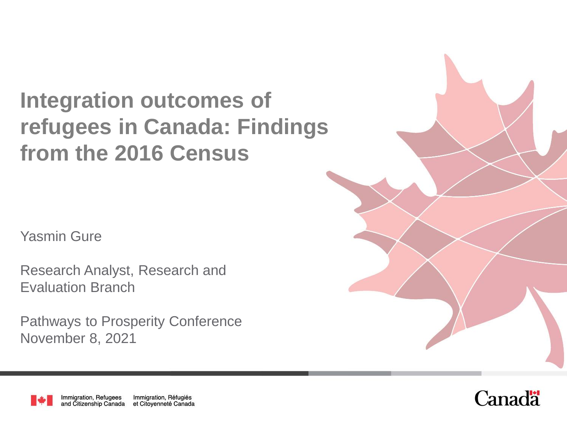# **Integration outcomes of refugees in Canada: Findings from the 2016 Census**

Yasmin Gure

Research Analyst, Research and Evaluation Branch

Pathways to Prosperity Conference November 8, 2021



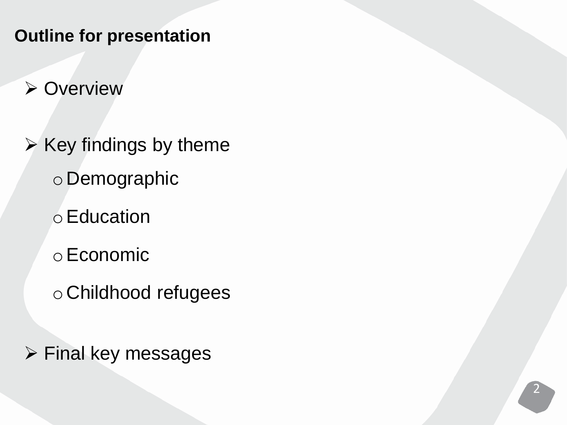**Outline for presentation** 

**≻ Overview** 

 $\triangleright$  Key findings by theme o Demographic

oEducation

oEconomic

o Childhood refugees

 $\triangleright$  Final key messages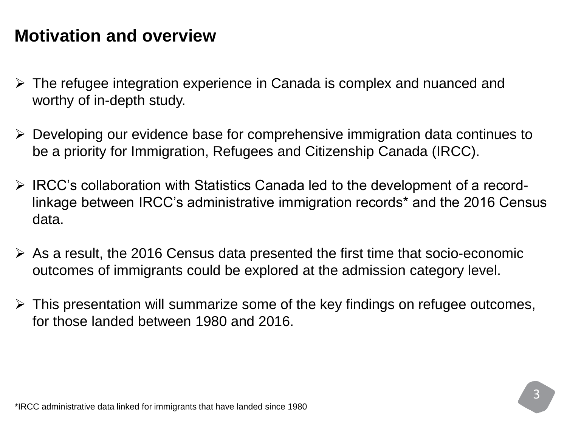#### **Motivation and overview**

- $\triangleright$  The refugee integration experience in Canada is complex and nuanced and worthy of in-depth study.
- Developing our evidence base for comprehensive immigration data continues to be a priority for Immigration, Refugees and Citizenship Canada (IRCC).
- $\triangleright$  IRCC's collaboration with Statistics Canada led to the development of a recordlinkage between IRCC's administrative immigration records\* and the 2016 Census data.
- $\triangleright$  As a result, the 2016 Census data presented the first time that socio-economic outcomes of immigrants could be explored at the admission category level.
- $\triangleright$  This presentation will summarize some of the key findings on refugee outcomes, for those landed between 1980 and 2016.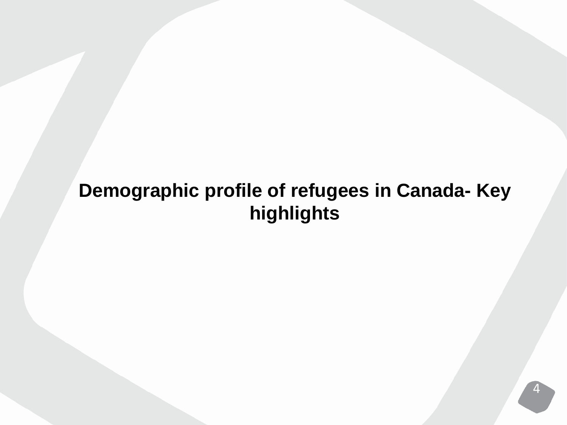## **Demographic profile of refugees in Canada- Key highlights**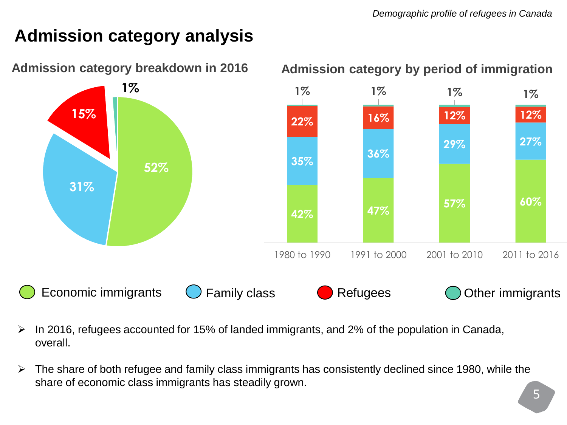### **Admission category analysis**



- $\triangleright$  In 2016, refugees accounted for 15% of landed immigrants, and 2% of the population in Canada, overall.
- $\triangleright$  The share of both refugee and family class immigrants has consistently declined since 1980, while the share of economic class immigrants has steadily grown.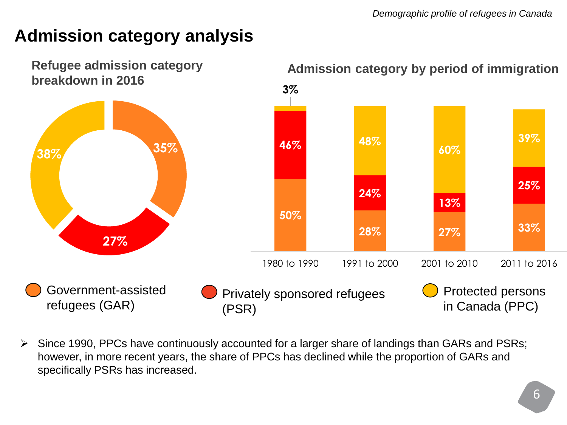#### **Admission category analysis**



 $\triangleright$  Since 1990, PPCs have continuously accounted for a larger share of landings than GARs and PSRs; however, in more recent years, the share of PPCs has declined while the proportion of GARs and specifically PSRs has increased.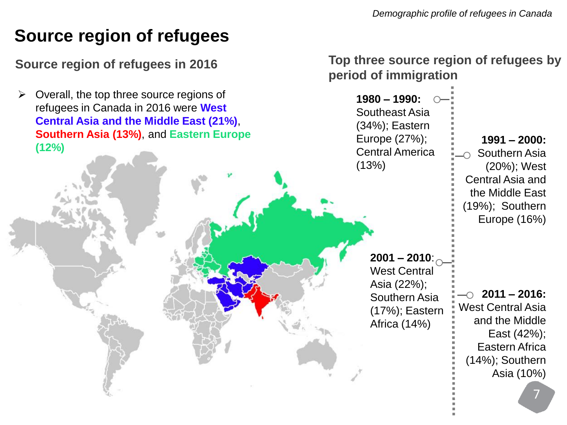#### **Source region of refugees**

 $\triangleright$  Overall, the top three source regions of refugees in Canada in 2016 were **West Central Asia and the Middle East (21%)**, **Southern Asia (13%)**, and **Eastern Europe (12%)** 

**Source region of refugees in 2016 Top three source region of refugees by period of immigration** 

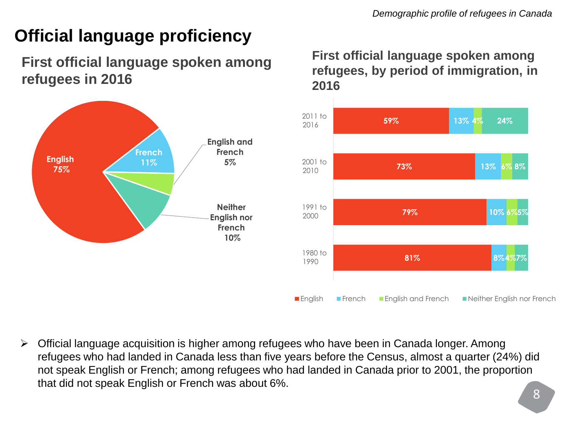## **Official language proficiency**

#### **First official language spoken among refugees in 2016**



#### **First official language spoken among refugees, by period of immigration, in 2016**



 Official language acquisition is higher among refugees who have been in Canada longer. Among refugees who had landed in Canada less than five years before the Census, almost a quarter (24%) did not speak English or French; among refugees who had landed in Canada prior to 2001, the proportion that did not speak English or French was about 6%.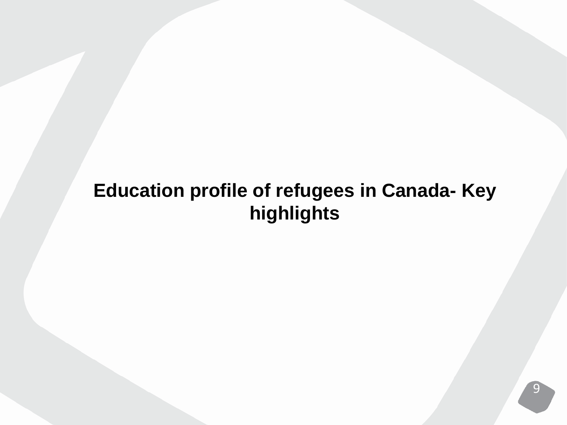## **Education profile of refugees in Canada- Key highlights**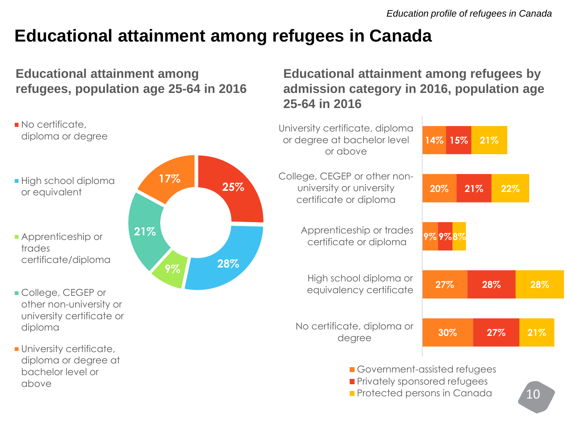**Educational attainment among refugees by admission category in 2016, population age** 

## **Educational attainment among refugees in Canada**

#### **Educational attainment among refugees, population age 25-64 in 2016**

**25% 28% 9% 21% 17%** No certificate, diploma or degree **High school diploma** or equivalent **Apprenticeship or** trades certificate/diploma **College, CEGEP or** other non-university or university certificate or diploma **University certificate,** diploma or degree at bachelor level or above **30% 27% 9% 9% 8% 20% 14% 15% 27% 28% 21% 21% 28% 22% 21%** No certificate, diploma or degree High school diploma or equivalency certificate Apprenticeship or trades certificate or diploma College, CEGEP or other nonuniversity or university certificate or diploma University certificate, diploma or degree at bachelor level or above Government-assisted refugees **Privately sponsored refugees Protected persons in Canada** 

**25-64 in 2016**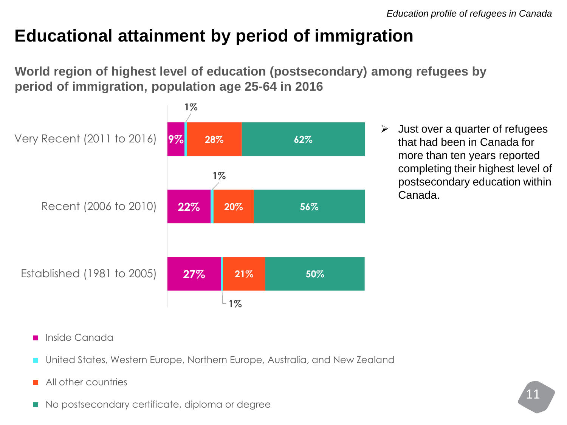## **Educational attainment by period of immigration**

**World region of highest level of education (postsecondary) among refugees by period of immigration, population age 25-64 in 2016**



 $\triangleright$  Just over a quarter of refugees that had been in Canada for more than ten years reported completing their highest level of postsecondary education within Canada.

- **Inside Canada**
- United States, Western Europe, Northern Europe, Australia, and New Zealand
- All other countries
- No postsecondary certificate, diploma or degree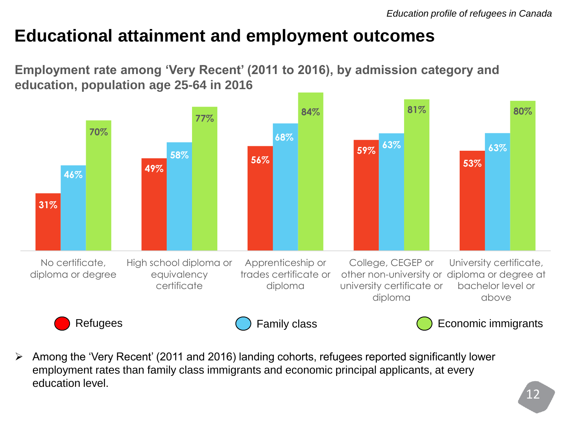#### **Educational attainment and employment outcomes**

**Employment rate among 'Very Recent' (2011 to 2016), by admission category and education, population age 25-64 in 2016**



 Among the 'Very Recent' (2011 and 2016) landing cohorts, refugees reported significantly lower employment rates than family class immigrants and economic principal applicants, at every education level.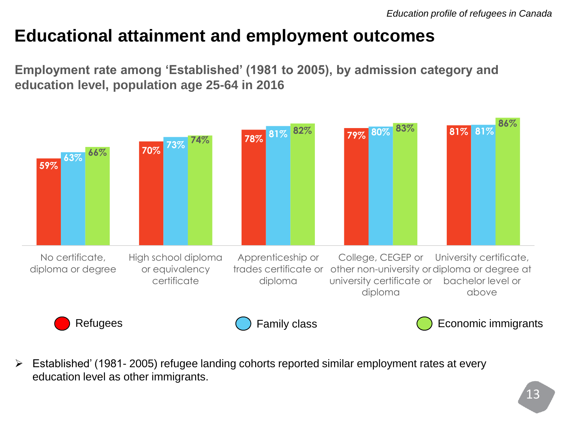#### **Educational attainment and employment outcomes**

**Employment rate among 'Established' (1981 to 2005), by admission category and education level, population age 25-64 in 2016**



 Established' (1981- 2005) refugee landing cohorts reported similar employment rates at every education level as other immigrants.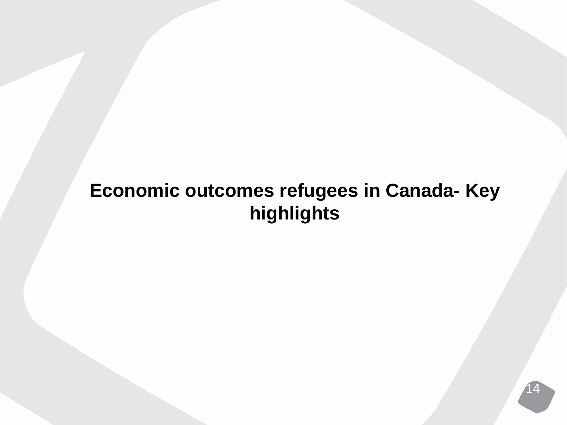## **Economic outcomes refugees in Canada- Key highlights**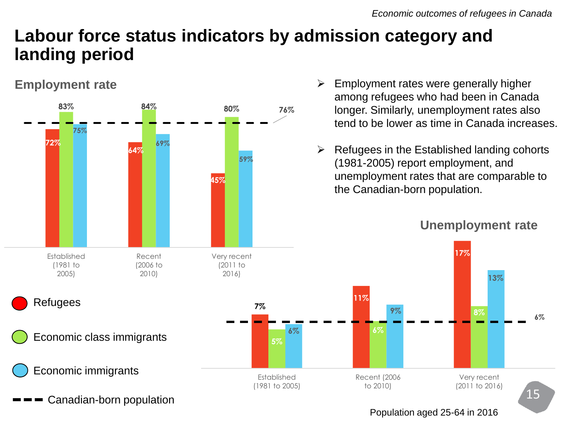### **Labour force status indicators by admission category and landing period**

#### **Employment rate**



- $\triangleright$  Employment rates were generally higher among refugees who had been in Canada longer. Similarly, unemployment rates also tend to be lower as time in Canada increases.
- Refugees in the Established landing cohorts (1981-2005) report employment, and unemployment rates that are comparable to the Canadian-born population.

#### **Unemployment rate**

**8%**

Very recent (2011 to 2016)

**13%**

**17%**

15

**6%**

Population aged 25-64 in 2016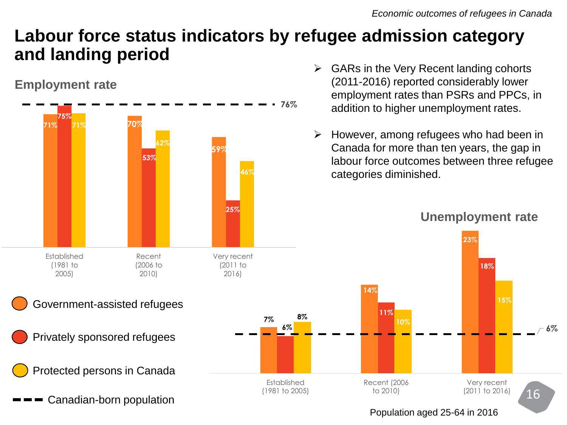### **Labour force status indicators by refugee admission category and landing period**

#### **Employment rate**



- GARs in the Very Recent landing cohorts (2011-2016) reported considerably lower employment rates than PSRs and PPCs, in addition to higher unemployment rates.
- $\triangleright$  However, among refugees who had been in Canada for more than ten years, the gap in labour force outcomes between three refugee categories diminished.





#### Population aged 25-64 in 2016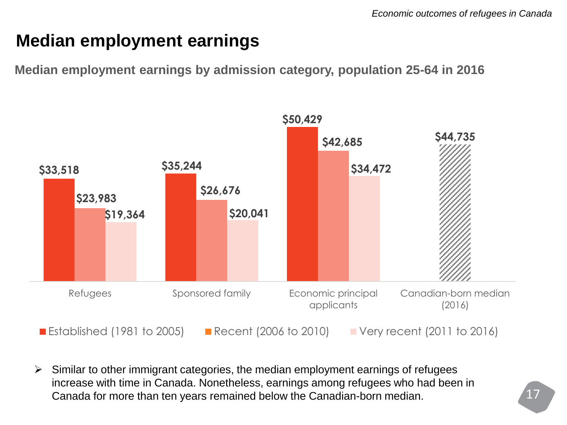### **Median employment earnings**

**Median employment earnings by admission category, population 25-64 in 2016**



 $\triangleright$  Similar to other immigrant categories, the median employment earnings of refugees increase with time in Canada. Nonetheless, earnings among refugees who had been in Canada for more than ten years remained below the Canadian-born median.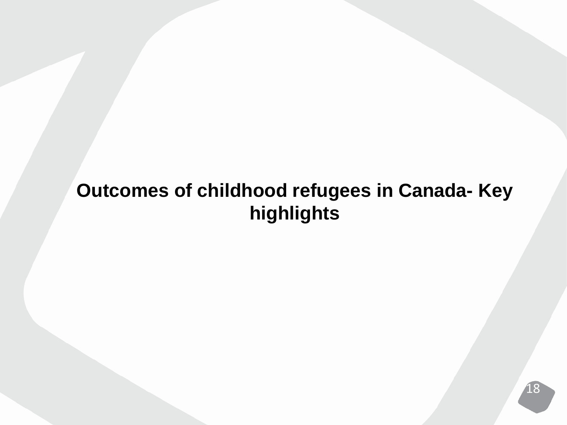## **Outcomes of childhood refugees in Canada- Key highlights**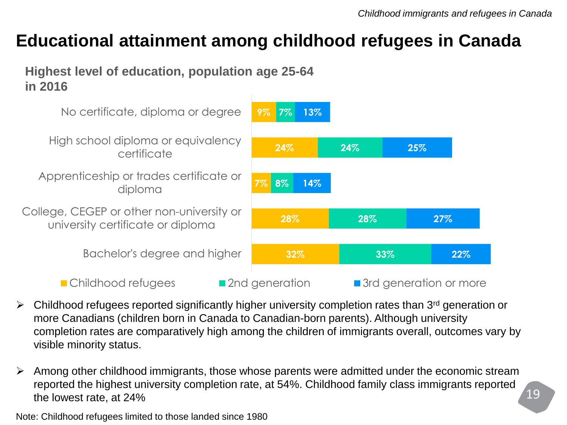#### **Educational attainment among childhood refugees in Canada**

**Highest level of education, population age 25-64 in 2016**



- $\triangleright$  Childhood refugees reported significantly higher university completion rates than 3<sup>rd</sup> generation or more Canadians (children born in Canada to Canadian-born parents). Although university completion rates are comparatively high among the children of immigrants overall, outcomes vary by visible minority status.
- $\triangleright$  Among other childhood immigrants, those whose parents were admitted under the economic stream reported the highest university completion rate, at 54%. Childhood family class immigrants reported the lowest rate, at 24%

Note: Childhood refugees limited to those landed since 1980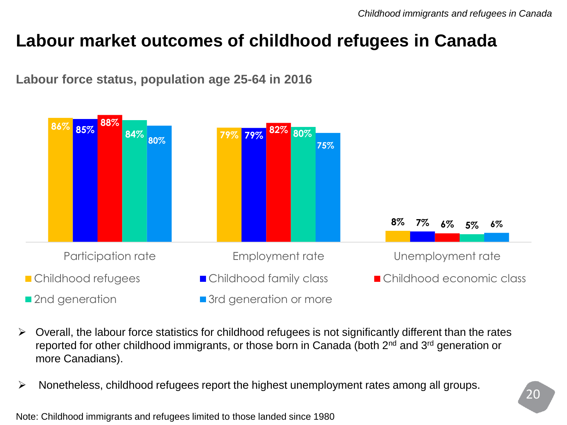#### **Labour market outcomes of childhood refugees in Canada**



**Labour force status, population age 25-64 in 2016**

- $\triangleright$  Overall, the labour force statistics for childhood refugees is not significantly different than the rates reported for other childhood immigrants, or those born in Canada (both 2<sup>nd</sup> and 3<sup>rd</sup> generation or more Canadians).
- $\triangleright$  Nonetheless, childhood refugees report the highest unemployment rates among all groups.

Note: Childhood immigrants and refugees limited to those landed since 1980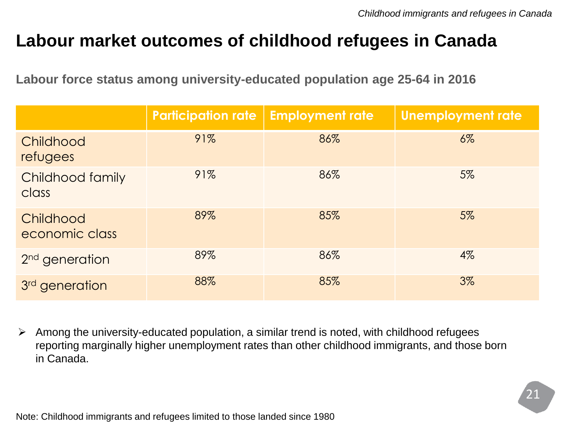#### **Labour market outcomes of childhood refugees in Canada**

**Labour force status among university-educated population age 25-64 in 2016**

|                             | <b>Participation rate</b> | <b>Employment rate</b> | <b>Unemployment rate</b> |
|-----------------------------|---------------------------|------------------------|--------------------------|
| Childhood<br>refugees       | 91%                       | 86%                    | $6\%$                    |
| Childhood family<br>class   | 91%                       | 86%                    | 5%                       |
| Childhood<br>economic class | 89%                       | 85%                    | 5%                       |
| 2 <sup>nd</sup> generation  | 89%                       | 86%                    | $4\%$                    |
| 3 <sup>rd</sup> generation  | 88%                       | 85%                    | 3%                       |

 $\triangleright$  Among the university-educated population, a similar trend is noted, with childhood refugees reporting marginally higher unemployment rates than other childhood immigrants, and those born in Canada.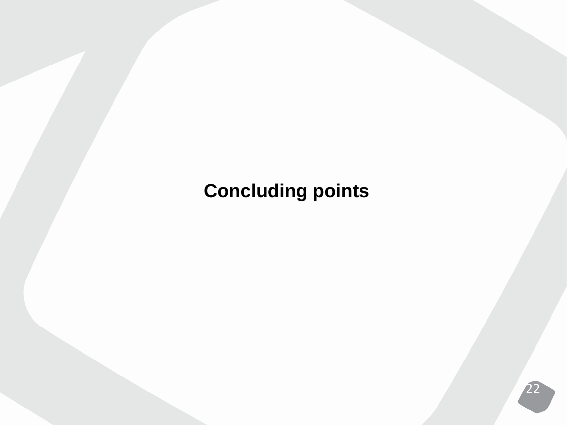# **Concluding points**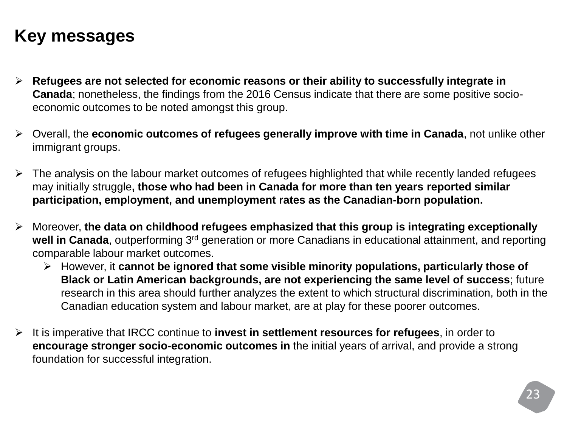### **Key messages**

- **Refugees are not selected for economic reasons or their ability to successfully integrate in Canada**; nonetheless, the findings from the 2016 Census indicate that there are some positive socioeconomic outcomes to be noted amongst this group.
- Overall, the **economic outcomes of refugees generally improve with time in Canada**, not unlike other immigrant groups.
- The analysis on the labour market outcomes of refugees highlighted that while recently landed refugees may initially struggle**, those who had been in Canada for more than ten years reported similar participation, employment, and unemployment rates as the Canadian-born population.**
- Moreover, **the data on childhood refugees emphasized that this group is integrating exceptionally**  well in Canada, outperforming 3<sup>rd</sup> generation or more Canadians in educational attainment, and reporting comparable labour market outcomes.
	- However, it **cannot be ignored that some visible minority populations, particularly those of Black or Latin American backgrounds, are not experiencing the same level of success**; future research in this area should further analyzes the extent to which structural discrimination, both in the Canadian education system and labour market, are at play for these poorer outcomes.
- It is imperative that IRCC continue to **invest in settlement resources for refugees**, in order to **encourage stronger socio-economic outcomes in** the initial years of arrival, and provide a strong foundation for successful integration.